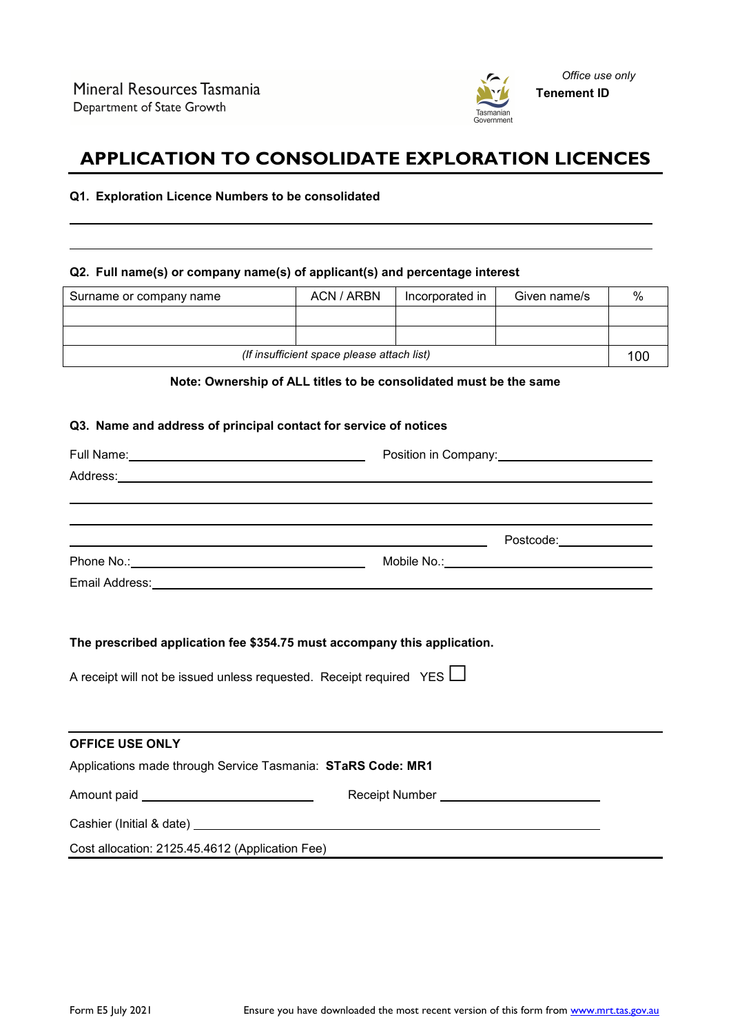

# **APPLICATION TO CONSOLIDATE EXPLORATION LICENCES**

#### **Q1. Exploration Licence Numbers to be consolidated**

#### **Q2. Full name(s) or company name(s) of applicant(s) and percentage interest**

| Surname or company name                    | ACN / ARBN | Incorporated in | Given name/s | $\%$ |
|--------------------------------------------|------------|-----------------|--------------|------|
|                                            |            |                 |              |      |
|                                            |            |                 |              |      |
| (If insufficient space please attach list) |            |                 | 100          |      |

### **Note: Ownership of ALL titles to be consolidated must be the same**

#### **Q3. Name and address of principal contact for service of notices**

|                                                                                                                                                                                                                                | Position in Company:                        |  |  |
|--------------------------------------------------------------------------------------------------------------------------------------------------------------------------------------------------------------------------------|---------------------------------------------|--|--|
| Address: Address: Address: Address: Address: Address: Address: Address: Address: Address: Address: Address: Address: Address: Address: Address: Address: Address: Address: Address: Address: Address: Address: Address: Addres |                                             |  |  |
|                                                                                                                                                                                                                                |                                             |  |  |
|                                                                                                                                                                                                                                |                                             |  |  |
|                                                                                                                                                                                                                                |                                             |  |  |
|                                                                                                                                                                                                                                |                                             |  |  |
|                                                                                                                                                                                                                                |                                             |  |  |
|                                                                                                                                                                                                                                |                                             |  |  |
|                                                                                                                                                                                                                                |                                             |  |  |
| The prescribed application fee \$354.75 must accompany this application.                                                                                                                                                       |                                             |  |  |
|                                                                                                                                                                                                                                |                                             |  |  |
| A receipt will not be issued unless requested. Receipt required YES $\Box$                                                                                                                                                     |                                             |  |  |
|                                                                                                                                                                                                                                |                                             |  |  |
|                                                                                                                                                                                                                                |                                             |  |  |
| <b>OFFICE USE ONLY</b>                                                                                                                                                                                                         |                                             |  |  |
| Applications made through Service Tasmania: STaRS Code: MR1                                                                                                                                                                    |                                             |  |  |
|                                                                                                                                                                                                                                | Receipt Number ____________________________ |  |  |
|                                                                                                                                                                                                                                |                                             |  |  |
| Cost allocation: 2125.45.4612 (Application Fee)                                                                                                                                                                                |                                             |  |  |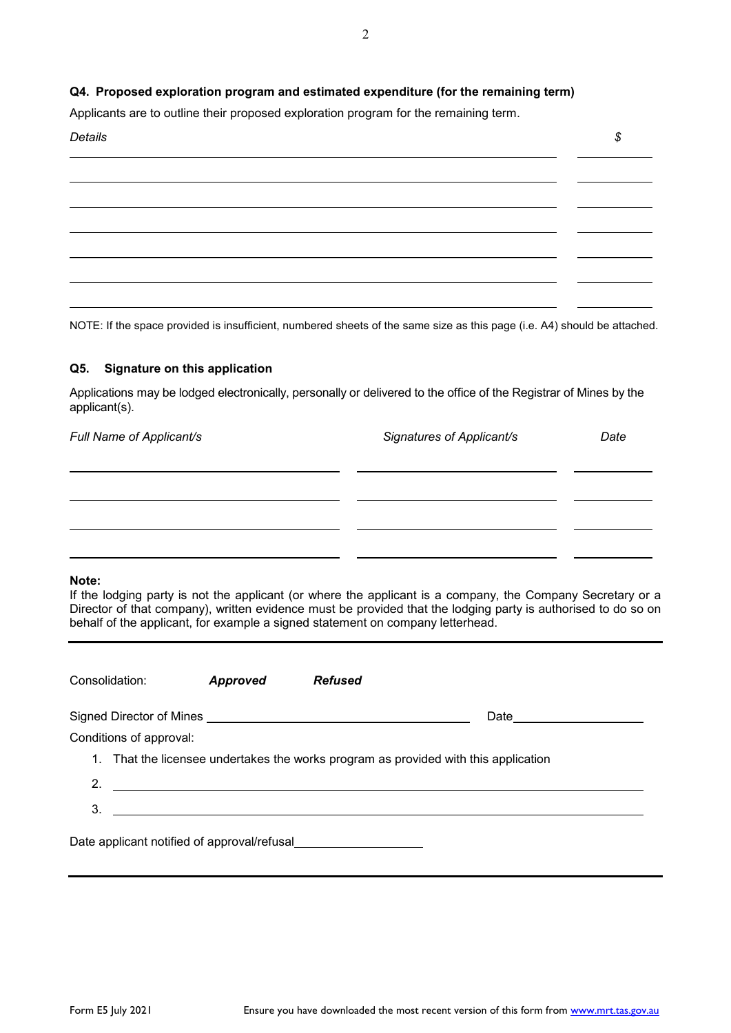## **Q4. Proposed exploration program and estimated expenditure (for the remaining term)**

Applicants are to outline their proposed exploration program for the remaining term.



NOTE: If the space provided is insufficient, numbered sheets of the same size as this page (i.e. A4) should be attached.

### **Q5. Signature on this application**

Applications may be lodged electronically, personally or delivered to the office of the Registrar of Mines by the applicant(s).

| Full Name of Applicant/s | Signatures of Applicant/s | Date |
|--------------------------|---------------------------|------|
|                          |                           |      |
|                          |                           |      |
|                          |                           |      |
|                          |                           |      |
|                          |                           |      |

#### **Note:**

If the lodging party is not the applicant (or where the applicant is a company, the Company Secretary or a Director of that company), written evidence must be provided that the lodging party is authorised to do so on behalf of the applicant, for example a signed statement on company letterhead.

| Consolidation:                              | Approved                                                                                                                   | <b>Refused</b> |                                                                                     |  |
|---------------------------------------------|----------------------------------------------------------------------------------------------------------------------------|----------------|-------------------------------------------------------------------------------------|--|
|                                             |                                                                                                                            |                | Date                                                                                |  |
| Conditions of approval:                     |                                                                                                                            |                |                                                                                     |  |
|                                             |                                                                                                                            |                | 1. That the licensee undertakes the works program as provided with this application |  |
| 2.                                          | <u>and the contract of the contract of the contract of the contract of the contract of the contract of the contract of</u> |                |                                                                                     |  |
| 3.                                          |                                                                                                                            |                |                                                                                     |  |
| Date applicant notified of approval/refusal |                                                                                                                            |                |                                                                                     |  |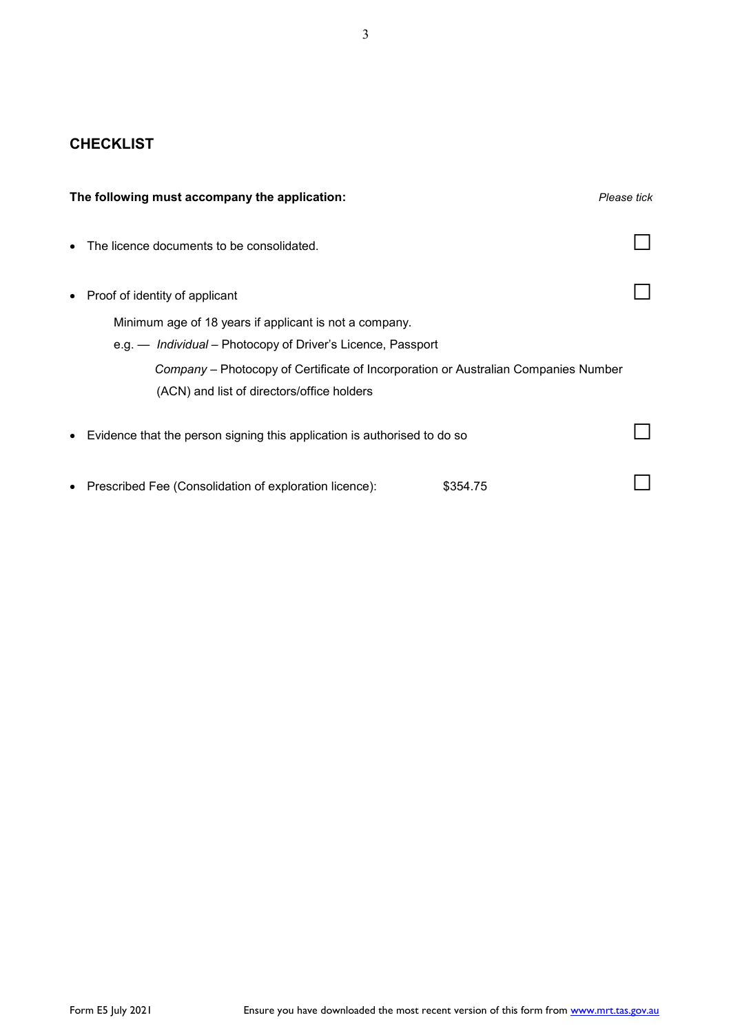# **CHECKLIST**

| The following must accompany the application:                                      | Please tick |
|------------------------------------------------------------------------------------|-------------|
| The licence documents to be consolidated.                                          |             |
| Proof of identity of applicant                                                     |             |
| Minimum age of 18 years if applicant is not a company.                             |             |
| e.g. — Individual – Photocopy of Driver's Licence, Passport                        |             |
| Company – Photocopy of Certificate of Incorporation or Australian Companies Number |             |
| (ACN) and list of directors/office holders                                         |             |
| Evidence that the person signing this application is authorised to do so<br>٠      |             |
| Prescribed Fee (Consolidation of exploration licence):                             | \$354.75    |